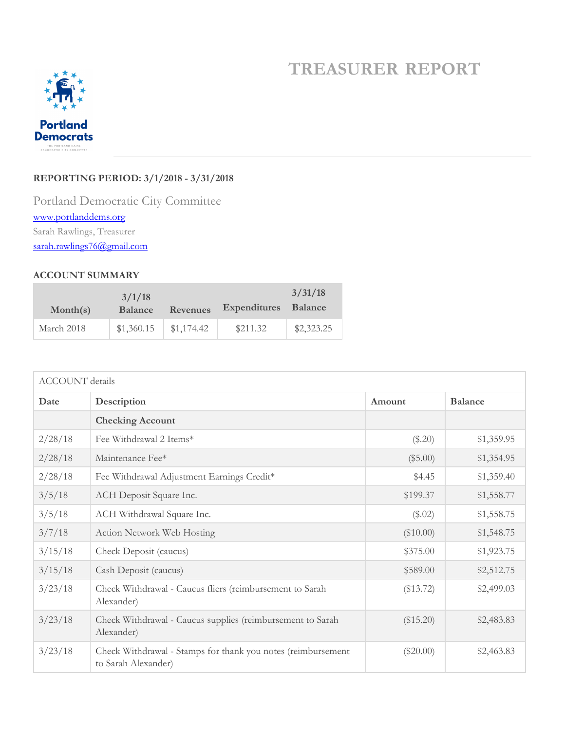## **TREASURER REPORT**



## **REPORTING PERIOD: 3/1/2018 - 3/31/2018**

Portland Democratic City Committee www.portlanddems.org Sarah Rawlings, Treasurer sarah.rawlings76@gmail.com

## **ACCOUNT SUMMARY**

| Month(s)   | 3/1/18<br><b>Balance</b> | <b>Revenues</b> | <b>Expenditures</b> | 3/31/18<br>Balance |
|------------|--------------------------|-----------------|---------------------|--------------------|
| March 2018 | \$1,360.15               | \$1,174.42      | \$211.32            | \$2,323.25         |

| <b>ACCOUNT</b> details |                                                                                     |             |                |  |  |
|------------------------|-------------------------------------------------------------------------------------|-------------|----------------|--|--|
| Date                   | Description                                                                         |             | <b>Balance</b> |  |  |
|                        | <b>Checking Account</b>                                                             |             |                |  |  |
| 2/28/18                | Fee Withdrawal 2 Items*                                                             | (\$.20)     | \$1,359.95     |  |  |
| 2/28/18                | Maintenance Fee*                                                                    | (\$5.00)    | \$1,354.95     |  |  |
| 2/28/18                | Fee Withdrawal Adjustment Earnings Credit*                                          | \$4.45      | \$1,359.40     |  |  |
| 3/5/18                 | ACH Deposit Square Inc.                                                             | \$199.37    | \$1,558.77     |  |  |
| 3/5/18                 | ACH Withdrawal Square Inc.                                                          | (\$.02)     | \$1,558.75     |  |  |
| 3/7/18                 | Action Network Web Hosting                                                          | (\$10.00)   | \$1,548.75     |  |  |
| 3/15/18                | Check Deposit (caucus)                                                              | \$375.00    | \$1,923.75     |  |  |
| 3/15/18                | Cash Deposit (caucus)                                                               | \$589.00    | \$2,512.75     |  |  |
| 3/23/18                | Check Withdrawal - Caucus fliers (reimbursement to Sarah<br>Alexander)              | (\$13.72)   | \$2,499.03     |  |  |
| 3/23/18                | Check Withdrawal - Caucus supplies (reimbursement to Sarah<br>Alexander)            | (\$15.20)   | \$2,483.83     |  |  |
| 3/23/18                | Check Withdrawal - Stamps for thank you notes (reimbursement<br>to Sarah Alexander) | $(\$20.00)$ | \$2,463.83     |  |  |